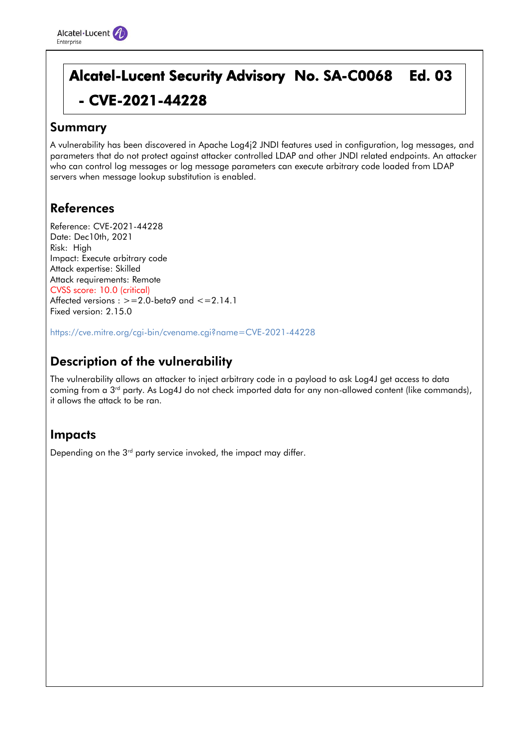# Alcatel-Lucent Security Advisory No. SA-C0068 Ed. 03 - CVE-2021-44228

#### Summary

A vulnerability has been discovered in Apache Log4j2 JNDI features used in configuration, log messages, and parameters that do not protect against attacker controlled LDAP and other JNDI related endpoints. An attacker who can control log messages or log message parameters can execute arbitrary code loaded from LDAP servers when message lookup substitution is enabled.

## References

Reference: CVE-2021-44228 Date: Dec10th, 2021 Risk: High Impact: Execute arbitrary code Attack expertise: Skilled Attack requirements: Remote CVSS score: 10.0 (critical) Affected versions :  $> = 2.0$ -beta9 and  $< = 2.14.1$ Fixed version: 2.15.0

https://cve.mitre.org/cgi-bin/cvename.cgi?name=CVE-2021-44228

# Description of the vulnerability

The vulnerability allows an attacker to inject arbitrary code in a payload to ask Log4J get access to data coming from a 3<sup>rd</sup> party. As Log4J do not check imported data for any non-allowed content (like commands), it allows the attack to be ran.

#### Impacts

Depending on the 3<sup>rd</sup> party service invoked, the impact may differ.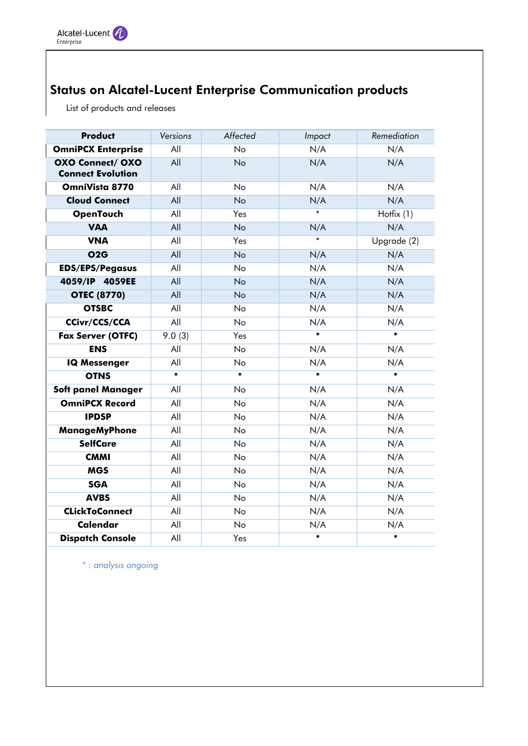# Status on Alcatel-Lucent Enterprise Communication products

List of products and releases

| <b>Product</b>                                      | Versions | Affected  | Impact | Remediation |
|-----------------------------------------------------|----------|-----------|--------|-------------|
| <b>OmniPCX Enterprise</b>                           | All      | <b>No</b> | N/A    | N/A         |
| <b>OXO Connect/ OXO</b><br><b>Connect Evolution</b> | All      | <b>No</b> | N/A    | N/A         |
| OmniVista 8770                                      | All      | <b>No</b> | N/A    | N/A         |
| <b>Cloud Connect</b>                                | All      | <b>No</b> | N/A    | N/A         |
| <b>OpenTouch</b>                                    | All      | Yes       | $\ast$ | Hotfix (1)  |
| <b>VAA</b>                                          | All      | <b>No</b> | N/A    | N/A         |
| <b>VNA</b>                                          | All      | Yes       | $\ast$ | Upgrade (2) |
| O2G                                                 | All      | <b>No</b> | N/A    | N/A         |
| <b>EDS/EPS/Pegasus</b>                              | All      | <b>No</b> | N/A    | N/A         |
| 4059/IP 4059EE                                      | All      | <b>No</b> | N/A    | N/A         |
| <b>OTEC (8770)</b>                                  | All      | <b>No</b> | N/A    | N/A         |
| <b>OTSBC</b>                                        | All      | <b>No</b> | N/A    | N/A         |
| <b>CCivr/CCS/CCA</b>                                | All      | <b>No</b> | N/A    | N/A         |
| <b>Fax Server (OTFC)</b>                            | 9.0(3)   | Yes       | $\ast$ | $\ast$      |
| <b>ENS</b>                                          | All      | No        | N/A    | N/A         |
| <b>IQ Messenger</b>                                 | All      | <b>No</b> | N/A    | N/A         |
| <b>OTNS</b>                                         | $\ast$   | $\ast$    | $\ast$ | $\ast$      |
| <b>Soft panel Manager</b>                           | All      | No        | N/A    | N/A         |
| <b>OmniPCX Record</b>                               | All      | <b>No</b> | N/A    | N/A         |
| <b>IPDSP</b>                                        | All      | No        | N/A    | N/A         |
| <b>ManageMyPhone</b>                                | All      | No        | N/A    | N/A         |
| <b>SelfCare</b>                                     | All      | No        | N/A    | N/A         |
| <b>CMMI</b>                                         | All      | No        | N/A    | N/A         |
| <b>MGS</b>                                          | All      | No        | N/A    | N/A         |
| <b>SGA</b>                                          | All      | No        | N/A    | N/A         |
| <b>AVBS</b>                                         | All      | No        | N/A    | N/A         |
| <b>CLickToConnect</b>                               | All      | No        | N/A    | N/A         |
| <b>Calendar</b>                                     | All      | No        | N/A    | N/A         |
| <b>Dispatch Console</b>                             | All      | Yes       | $\ast$ | $\ast$      |

*\* : analysis ongoing*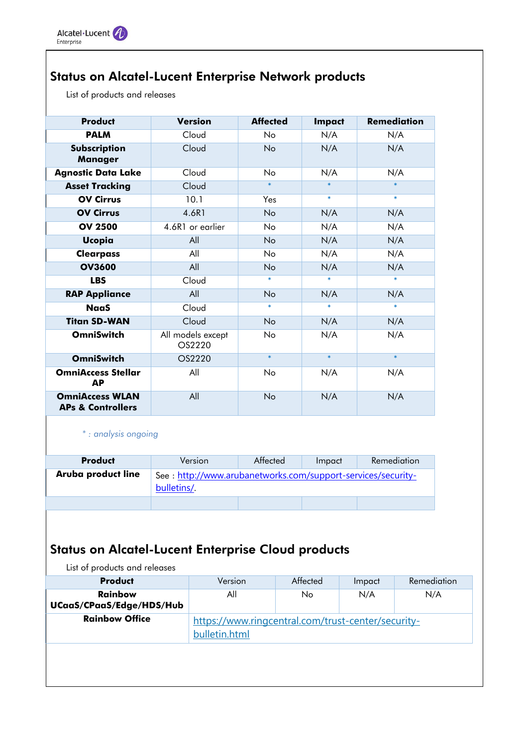# Status on Alcatel-Lucent Enterprise Network products

List of products and releases

| <b>Product</b>                                         | <b>Version</b>              | <b>Affected</b> | <b>Impact</b> | <b>Remediation</b> |
|--------------------------------------------------------|-----------------------------|-----------------|---------------|--------------------|
| <b>PALM</b>                                            | Cloud                       | No              | N/A           | N/A                |
| Subscription<br><b>Manager</b>                         | Cloud                       | No              | N/A           | N/A                |
| <b>Agnostic Data Lake</b>                              | Cloud                       | N <sub>o</sub>  | N/A           | N/A                |
| <b>Asset Tracking</b>                                  | Cloud                       | $\ast$          | $\ast$        | $\ast$             |
| <b>OV Cirrus</b>                                       | 10.1                        | Yes             | $\ast$        | $\ast$             |
| <b>OV Cirrus</b>                                       | 4.6R1                       | <b>No</b>       | N/A           | N/A                |
| <b>OV 2500</b>                                         | 4.6R1 or earlier            | <b>No</b>       | N/A           | N/A                |
| <b>Ucopia</b>                                          | All                         | No              | N/A           | N/A                |
| <b>Clearpass</b>                                       | All                         | N <sub>o</sub>  | N/A           | N/A                |
| <b>OV3600</b>                                          | All                         | <b>No</b>       | N/A           | N/A                |
| <b>LBS</b>                                             | Cloud                       | $\ast$          | $\ast$        | $\ast$             |
| <b>RAP Appliance</b>                                   | All                         | <b>No</b>       | N/A           | N/A                |
| <b>NaaS</b>                                            | Cloud                       | $\ast$          | $\ast$        | $\ast$             |
| <b>Titan SD-WAN</b>                                    | Cloud                       | <b>No</b>       | N/A           | N/A                |
| <b>OmniSwitch</b>                                      | All models except<br>OS2220 | <b>No</b>       | N/A           | N/A                |
| <b>OmniSwitch</b>                                      | OS2220                      | $\ast$          | $\ast$        | $\ast$             |
| <b>OmniAccess Stellar</b><br>АP                        | All                         | <b>No</b>       | N/A           | N/A                |
| <b>OmniAccess WLAN</b><br><b>APs &amp; Controllers</b> | All                         | No              | N/A           | N/A                |

*\* : analysis ongoing*

| <b>Product</b>     | Version                                                                    | Affected | Impact | Remediation |
|--------------------|----------------------------------------------------------------------------|----------|--------|-------------|
| Aruba product line | See: http://www.arubanetworks.com/support-services/security-<br>bulletins/ |          |        |             |
|                    |                                                                            |          |        |             |

# Status on Alcatel-Lucent Enterprise Cloud products

List of products and releases

| <b>Product</b>                             | Version                                                             | Affected | Impact | Remediation |  |
|--------------------------------------------|---------------------------------------------------------------------|----------|--------|-------------|--|
| <b>Rainbow</b><br>UCaaS/CPaaS/Edge/HDS/Hub | All                                                                 | No.      | N/A    | N/A         |  |
| <b>Rainbow Office</b>                      | https://www.ringcentral.com/trust-center/security-<br>bulletin.html |          |        |             |  |
|                                            |                                                                     |          |        |             |  |
|                                            |                                                                     |          |        |             |  |